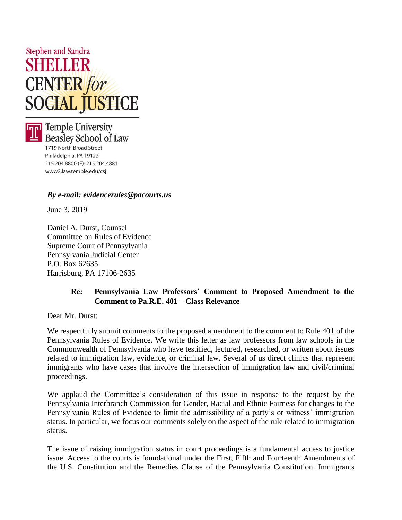



**Temple University Beasley School of Law** 

1719 North Broad Street Philadelphia, PA 19122 215.204.8800 (F): 215.204.4881 www2.law.temple.edu/csj

## *By e-mail: [evidencerules@pacourts.us](mailto:evidencerules@pacourts.us)*

June 3, 2019

Daniel A. Durst, Counsel Committee on Rules of Evidence Supreme Court of Pennsylvania Pennsylvania Judicial Center P.O. Box 62635 Harrisburg, PA 17106-2635

## **Re: Pennsylvania Law Professors' Comment to Proposed Amendment to the Comment to Pa.R.E. 401 – Class Relevance**

Dear Mr. Durst:

We respectfully submit comments to the proposed amendment to the comment to Rule 401 of the Pennsylvania Rules of Evidence. We write this letter as law professors from law schools in the Commonwealth of Pennsylvania who have testified, lectured, researched, or written about issues related to immigration law, evidence, or criminal law. Several of us direct clinics that represent immigrants who have cases that involve the intersection of immigration law and civil/criminal proceedings.

We applaud the Committee's consideration of this issue in response to the request by the Pennsylvania Interbranch Commission for Gender, Racial and Ethnic Fairness for changes to the Pennsylvania Rules of Evidence to limit the admissibility of a party's or witness' immigration status. In particular, we focus our comments solely on the aspect of the rule related to immigration status.

The issue of raising immigration status in court proceedings is a fundamental access to justice issue. Access to the courts is foundational under the First, Fifth and Fourteenth Amendments of the U.S. Constitution and the Remedies Clause of the Pennsylvania Constitution. Immigrants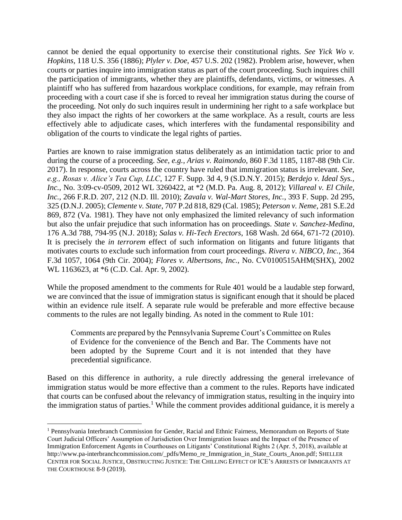cannot be denied the equal opportunity to exercise their constitutional rights. *See Yick Wo v. Hopkins*, 118 U.S. 356 (1886); *Plyler v. Doe*, 457 U.S. 202 (1982). Problem arise, however, when courts or parties inquire into immigration status as part of the court proceeding. Such inquires chill the participation of immigrants, whether they are plaintiffs, defendants, victims, or witnesses. A plaintiff who has suffered from hazardous workplace conditions, for example, may refrain from proceeding with a court case if she is forced to reveal her immigration status during the course of the proceeding. Not only do such inquires result in undermining her right to a safe workplace but they also impact the rights of her coworkers at the same workplace. As a result, courts are less effectively able to adjudicate cases, which interferes with the fundamental responsibility and obligation of the courts to vindicate the legal rights of parties.

Parties are known to raise immigration status deliberately as an intimidation tactic prior to and during the course of a proceeding. *See, e.g., Arias v. Raimondo*, 860 F.3d 1185, 1187-88 (9th Cir. 2017). In response, courts across the country have ruled that immigration status is irrelevant. *See, e.g., Rosas v. Alice's Tea Cup, LLC*, 127 F. Supp. 3d 4, 9 (S.D.N.Y. 2015); *Berdejo v. Ideal Sys., Inc.*, No. 3:09-cv-0509, 2012 WL 3260422, at \*2 (M.D. Pa. Aug. 8, 2012); *Villareal v. El Chile, Inc.*, 266 F.R.D. 207, 212 (N.D. Ill. 2010); *Zavala v. Wal-Mart Stores, Inc.*, 393 F. Supp. 2d 295, 325 (D.N.J. 2005); *Clemente v. State*, 707 P.2d 818, 829 (Cal. 1985); *Peterson v. Neme*, 281 S.E.2d 869, 872 (Va. 1981). They have not only emphasized the limited relevancy of such information but also the unfair prejudice that such information has on proceedings. *State v. Sanchez-Medina*, 176 A.3d 788, 794-95 (N.J. 2018); *Salas v. Hi-Tech Erectors*, 168 Wash. 2d 664, 671-72 (2010). It is precisely the *in terrorem* effect of such information on litigants and future litigants that motivates courts to exclude such information from court proceedings. *Rivera v. NIBCO, Inc.*, 364 F.3d 1057, 1064 (9th Cir. 2004); *Flores v. Albertsons, Inc.*, No. CV0100515AHM(SHX), 2002 WL 1163623, at \*6 (C.D. Cal. Apr. 9, 2002).

While the proposed amendment to the comments for Rule 401 would be a laudable step forward, we are convinced that the issue of immigration status is significant enough that it should be placed within an evidence rule itself. A separate rule would be preferable and more effective because comments to the rules are not legally binding. As noted in the comment to Rule 101:

Comments are prepared by the Pennsylvania Supreme Court's Committee on Rules of Evidence for the convenience of the Bench and Bar. The Comments have not been adopted by the Supreme Court and it is not intended that they have precedential significance.

Based on this difference in authority, a rule directly addressing the general irrelevance of immigration status would be more effective than a comment to the rules. Reports have indicated that courts can be confused about the relevancy of immigration status, resulting in the inquiry into the immigration status of parties.<sup>1</sup> While the comment provides additional guidance, it is merely a

l

<sup>1</sup> Pennsylvania Interbranch Commission for Gender, Racial and Ethnic Fairness, Memorandum on Reports of State Court Judicial Officers' Assumption of Jurisdiction Over Immigration Issues and the Impact of the Presence of Immigration Enforcement Agents in Courthouses on Litigants' Constitutional Rights 2 (Apr. 5, 2018), available at http://www.pa-interbranchcommission.com/\_pdfs/Memo\_re\_Immigration\_in\_State\_Courts\_Anon.pdf; SHELLER CENTER FOR SOCIAL JUSTICE, OBSTRUCTING JUSTICE: THE CHILLING EFFECT OF ICE'S ARRESTS OF IMMIGRANTS AT THE COURTHOUSE 8-9 (2019).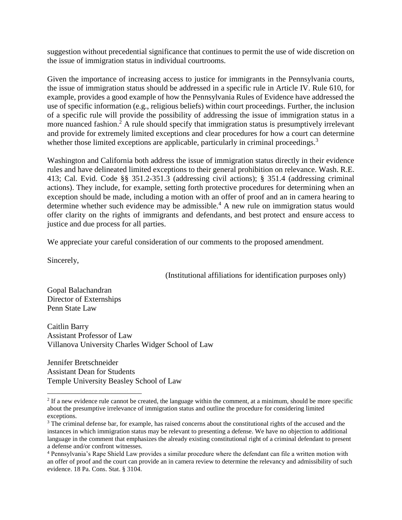suggestion without precedential significance that continues to permit the use of wide discretion on the issue of immigration status in individual courtrooms.

Given the importance of increasing access to justice for immigrants in the Pennsylvania courts, the issue of immigration status should be addressed in a specific rule in Article IV. Rule 610, for example, provides a good example of how the Pennsylvania Rules of Evidence have addressed the use of specific information (e.g., religious beliefs) within court proceedings. Further, the inclusion of a specific rule will provide the possibility of addressing the issue of immigration status in a more nuanced fashion.<sup>2</sup> A rule should specify that immigration status is presumptively irrelevant and provide for extremely limited exceptions and clear procedures for how a court can determine whether those limited exceptions are applicable, particularly in criminal proceedings.<sup>3</sup>

Washington and California both address the issue of immigration status directly in their evidence rules and have delineated limited exceptions to their general prohibition on relevance. Wash. R.E. 413; Cal. Evid. Code §§ 351.2-351.3 (addressing civil actions); § 351.4 (addressing criminal actions). They include, for example, setting forth protective procedures for determining when an exception should be made, including a motion with an offer of proof and an in camera hearing to determine whether such evidence may be admissible.<sup>4</sup> A new rule on immigration status would offer clarity on the rights of immigrants and defendants, and best protect and ensure access to justice and due process for all parties.

We appreciate your careful consideration of our comments to the proposed amendment.

Sincerely,

 $\overline{\phantom{a}}$ 

(Institutional affiliations for identification purposes only)

Gopal Balachandran Director of Externships Penn State Law

Caitlin Barry Assistant Professor of Law Villanova University Charles Widger School of Law

Jennifer Bretschneider Assistant Dean for Students Temple University Beasley School of Law

 $<sup>2</sup>$  If a new evidence rule cannot be created, the language within the comment, at a minimum, should be more specific</sup> about the presumptive irrelevance of immigration status and outline the procedure for considering limited exceptions.

<sup>&</sup>lt;sup>3</sup> The criminal defense bar, for example, has raised concerns about the constitutional rights of the accused and the instances in which immigration status may be relevant to presenting a defense. We have no objection to additional language in the comment that emphasizes the already existing constitutional right of a criminal defendant to present a defense and/or confront witnesses.

<sup>4</sup> Pennsylvania's Rape Shield Law provides a similar procedure where the defendant can file a written motion with an offer of proof and the court can provide an in camera review to determine the relevancy and admissibility of such evidence. 18 Pa. Cons. Stat. § 3104.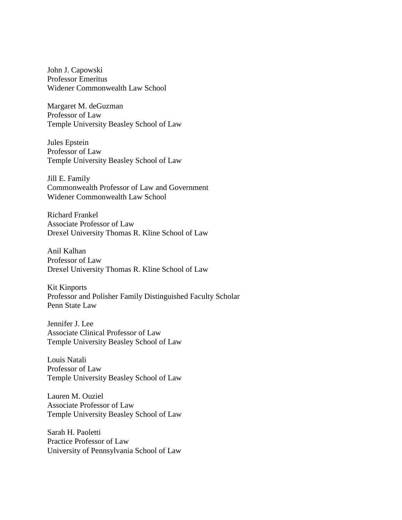John J. Capowski Professor Emeritus Widener Commonwealth Law School

Margaret M. deGuzman Professor of Law Temple University Beasley School of Law

Jules Epstein Professor of Law Temple University Beasley School of Law

Jill E. Family Commonwealth Professor of Law and Government Widener Commonwealth Law School

Richard Frankel Associate Professor of Law Drexel University Thomas R. Kline School of Law

Anil Kalhan Professor of Law Drexel University Thomas R. Kline School of Law

Kit Kinports Professor and Polisher Family Distinguished Faculty Scholar Penn State Law

Jennifer J. Lee Associate Clinical Professor of Law Temple University Beasley School of Law

Louis Natali Professor of Law Temple University Beasley School of Law

Lauren M. Ouziel Associate Professor of Law Temple University Beasley School of Law

Sarah H. Paoletti Practice Professor of Law University of Pennsylvania School of Law